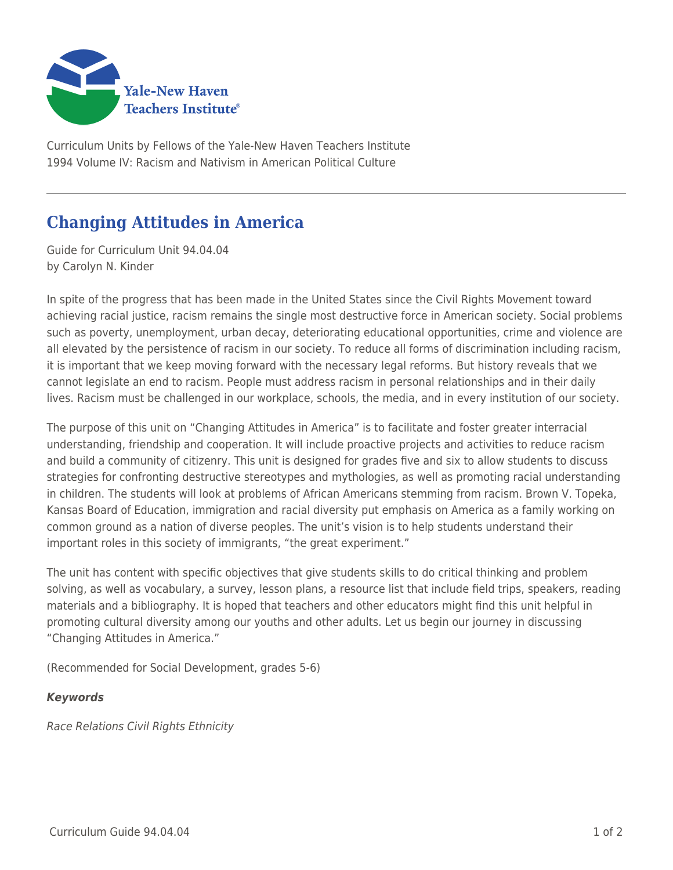

Curriculum Units by Fellows of the Yale-New Haven Teachers Institute 1994 Volume IV: Racism and Nativism in American Political Culture

## **Changing Attitudes in America**

Guide for Curriculum Unit 94.04.04 by Carolyn N. Kinder

In spite of the progress that has been made in the United States since the Civil Rights Movement toward achieving racial justice, racism remains the single most destructive force in American society. Social problems such as poverty, unemployment, urban decay, deteriorating educational opportunities, crime and violence are all elevated by the persistence of racism in our society. To reduce all forms of discrimination including racism, it is important that we keep moving forward with the necessary legal reforms. But history reveals that we cannot legislate an end to racism. People must address racism in personal relationships and in their daily lives. Racism must be challenged in our workplace, schools, the media, and in every institution of our society.

The purpose of this unit on "Changing Attitudes in America" is to facilitate and foster greater interracial understanding, friendship and cooperation. It will include proactive projects and activities to reduce racism and build a community of citizenry. This unit is designed for grades five and six to allow students to discuss strategies for confronting destructive stereotypes and mythologies, as well as promoting racial understanding in children. The students will look at problems of African Americans stemming from racism. Brown V. Topeka, Kansas Board of Education, immigration and racial diversity put emphasis on America as a family working on common ground as a nation of diverse peoples. The unit's vision is to help students understand their important roles in this society of immigrants, "the great experiment."

The unit has content with specific objectives that give students skills to do critical thinking and problem solving, as well as vocabulary, a survey, lesson plans, a resource list that include field trips, speakers, reading materials and a bibliography. It is hoped that teachers and other educators might find this unit helpful in promoting cultural diversity among our youths and other adults. Let us begin our journey in discussing "Changing Attitudes in America."

(Recommended for Social Development, grades 5-6)

## *Keywords*

Race Relations Civil Rights Ethnicity